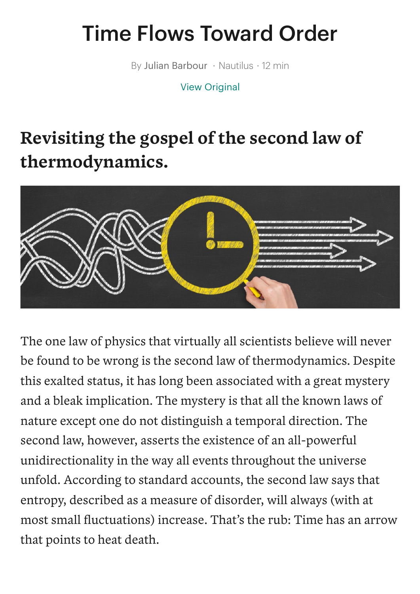## Time Flows Toward Order

By Julian Barbour • Nautilus • 12 min

View [Original](https://nautil.us/issue/93/forerunners/time-flows-toward-order?utm_source=pocket_mylist)

## **Revisiting the gospel of the second law of thermodynamics.**



The one law of physics that virtually all scientists believe will never be found to be wrong is the second law of thermodynamics. Despite this exalted status, it has long been associated with a great mystery and a bleak implication. The mystery is that all the known laws of nature except one do not distinguish a temporal direction. The second law, however, asserts the existence of an all-powerful unidirectionality in the way all events throughout the universe unfold. According to standard accounts, the second law says that entropy, described as a measure of disorder, will always (with at most small fluctuations) increase. That's the rub: Time has an arrow that points to heat death.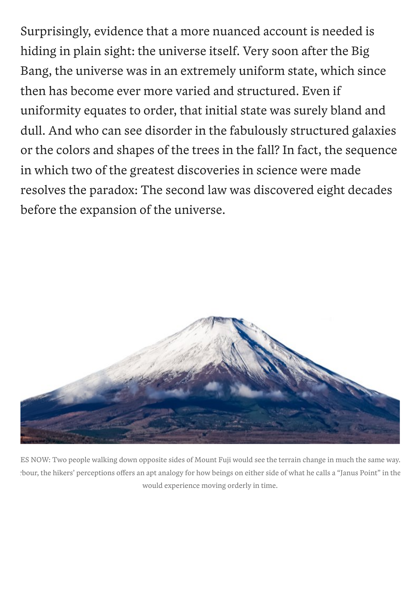Surprisingly, evidence that a more nuanced account is needed is hiding in plain sight: the universe itself. Very soon after the Big Bang, the universe was in an extremely uniform state, which since then has become ever more varied and structured. Even if uniformity equates to order, that initial state was surely bland and dull. And who can see disorder in the fabulously structured galaxies or the colors and shapes of the trees in the fall? In fact, the sequence in which two of the greatest discoveries in science were made resolves the paradox: The second law was discovered eight decades before the expansion of the universe.



ES NOW: Two people walking down opposite sides of Mount Fuji would see the terrain change in much the same way. rbour, the hikers' perceptions offers an apt analogy for how beings on either side of what he calls a "Janus Point" in the would experience moving orderly in time.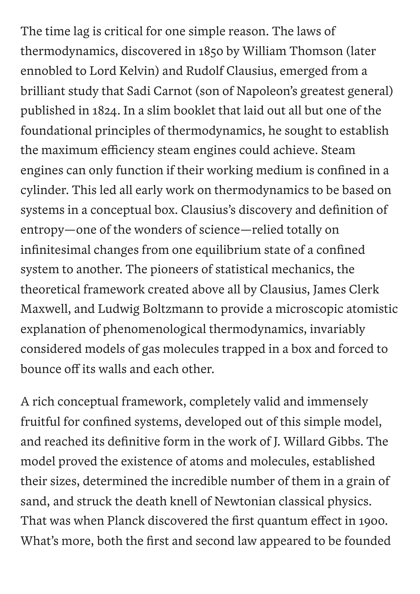The time lag is critical for one simple reason. The laws of thermodynamics, discovered in 1850 by William Thomson (later ennobled to Lord Kelvin) and Rudolf Clausius, emerged from a brilliant study that Sadi Carnot (son of Napoleon's greatest general) published in 1824. In a slim booklet that laid out all but one of the foundational principles of thermodynamics, he sought to establish the maximum efficiency steam engines could achieve. Steam engines can only function if their working medium is confined in a cylinder. This led all early work on thermodynamics to be based on systems in a conceptual box. Clausius's discovery and definition of entropy—one of the wonders of science—relied totally on infinitesimal changes from one equilibrium state of a confined system to another. The pioneers of statistical mechanics, the theoretical framework created above all by Clausius, James Clerk Maxwell, and Ludwig Boltzmann to provide a microscopic atomistic explanation of phenomenological thermodynamics, invariably considered models of gas molecules trapped in a box and forced to bounce off its walls and each other.

A rich conceptual framework, completely valid and immensely fruitful for confined systems, developed out of this simple model, and reached its definitive form in the work of J. Willard Gibbs. The model proved the existence of atoms and molecules, established their sizes, determined the incredible number of them in a grain of sand, and struck the death knell of Newtonian classical physics. That was when Planck discovered the first quantum effect in 1900. What's more, both the first and second law appeared to be founded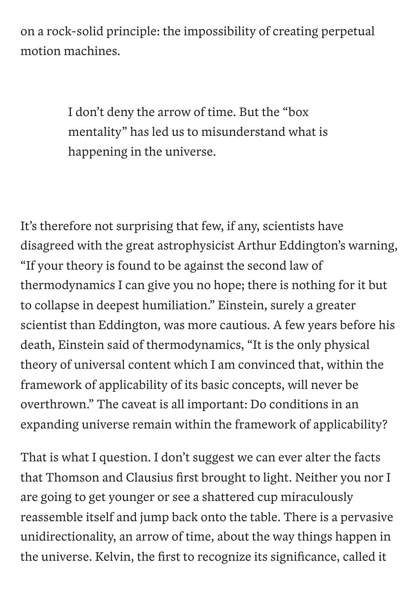on a rock-solid principle: the impossibility of creating perpetual motion machines.

> I don't deny the arrow of time. But the "box mentality" has led us to misunderstand what is happening in the universe.

It's therefore not surprising that few, if any, scientists have disagreed with the great astrophysicist Arthur Eddington's warning, "If your theory is found to be against the second law of thermodynamics I can give you no hope; there is nothing for it but to collapse in deepest humiliation." Einstein, surely a greater scientist than Eddington, was more cautious. A few years before his death, Einstein said of thermodynamics, "It is the only physical theory of universal content which I am convinced that, within the framework of applicability of its basic concepts, will never be overthrown." The caveat is all important: Do conditions in an expanding universe remain within the framework of applicability?

That is what I question. I don't suggest we can ever alter the facts that Thomson and Clausius first brought to light. Neither you nor I are going to get younger or see a shattered cup miraculously reassemble itself and jump back onto the table. There is a pervasive unidirectionality, an arrow of time, about the way things happen in the universe. Kelvin, the first to recognize its significance, called it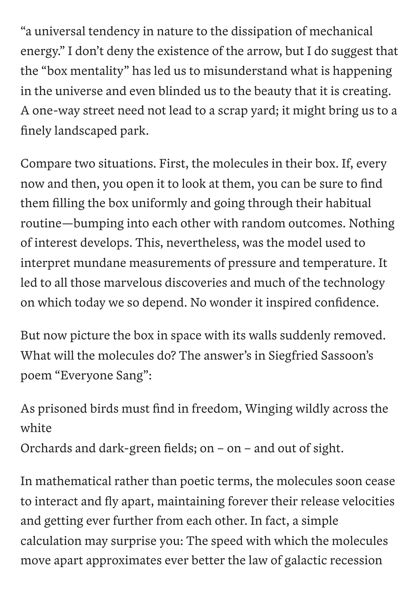"a universal tendency in nature to the dissipation of mechanical energy." I don't deny the existence of the arrow, but I do suggest that the "box mentality" has led us to misunderstand what is happening in the universe and even blinded us to the beauty that it is creating. A one-way street need not lead to a scrap yard; it might bring us to a finely landscaped park.

Compare two situations. First, the molecules in their box. If, every now and then, you open it to look at them, you can be sure to find them filling the box uniformly and going through their habitual routine—bumping into each other with random outcomes. Nothing of interest develops. This, nevertheless, was the model used to interpret mundane measurements of pressure and temperature. It led to all those marvelous discoveries and much of the technology on which today we so depend. No wonder it inspired confidence.

But now picture the box in space with its walls suddenly removed. What will the molecules do? The answer's in Siegfried Sassoon's poem "Everyone Sang" :

As prisoned birds must find in freedom, Winging wildly across the white

Orchards and dark-green fields; on – on – and out of sight.

In mathematical rather than poetic terms, the molecules soon cease to interact and fly apart, maintaining forever their release velocities and getting ever further from each other. In fact, a simple calculation may surprise you: The speed with which the molecules move apart approximates ever better the law of galactic recession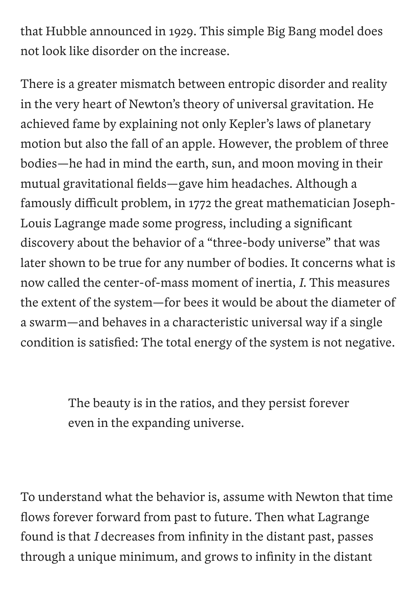that Hubble announced in 1929. This simple Big Bang model does not look like disorder on the increase.

There is a greater mismatch between entropic disorder and reality in the very heart of Newton's theory of universal gravitation. He achieved fame by explaining not only Kepler's laws of planetary motion but also the fall of an apple. However, the problem of three bodies—he had in mind the earth, sun, and moon moving in their mutual gravitational fields—gave him headaches. Although a famously difficult problem, in 1772 the great mathematician Joseph-Louis Lagrange made some progress, including a significant discovery about the behavior of a "three-body universe" that was later shown to be true for any number of bodies. It concerns what is now called the center-of-mass moment of inertia, *I*. This measures the extent of the system—for bees it would be about the diameter of a swarm—and behaves in a characteristic universal way if a single condition is satisfied: The total energy of the system is not negative.

> The beauty is in the ratios, and they persist forever even in the expanding universe.

To understand what the behavior is, assume with Newton that time flows forever forward from past to future. Then what Lagrange found is that *I* decreases from infinity in the distant past, passes through a unique minimum, and grows to infinity in the distant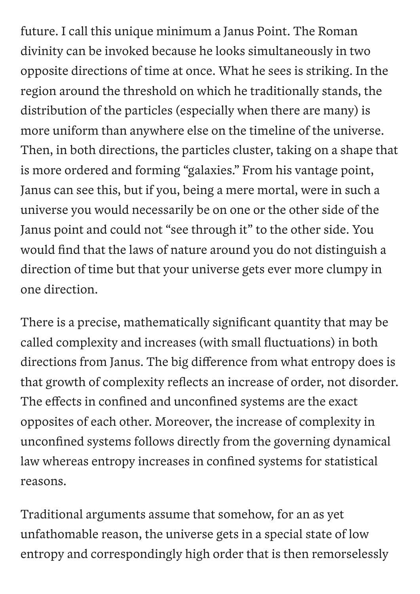future. I call this unique minimum a Janus Point. The Roman divinity can be invoked because he looks simultaneously in two opposite directions of time at once. What he sees is striking. In the region around the threshold on which he traditionally stands, the distribution of the particles (especially when there are many) is more uniform than anywhere else on the timeline of the universe. Then, in both directions, the particles cluster, taking on a shape that is more ordered and forming "galaxies." From his vantage point, Janus can see this, but if you, being a mere mortal, were in such a universe you would necessarily be on one or the other side of the Janus point and could not "see through it" to the other side. You would find that the laws of nature around you do not distinguish a direction of time but that your universe gets ever more clumpy in one direction.

There is a precise, mathematically significant quantity that may be called complexity and increases (with small fluctuations) in both directions from Janus. The big difference from what entropy does is that growth of complexity reflects an increase of order, not disorder. The effects in confined and unconfined systems are the exact opposites of each other. Moreover, the increase of complexity in unconfined systems follows directly from the governing dynamical law whereas entropy increases in confined systems for statistical reasons.

Traditional arguments assume that somehow, for an as yet unfathomable reason, the universe gets in a special state of low entropy and correspondingly high order that is then remorselessly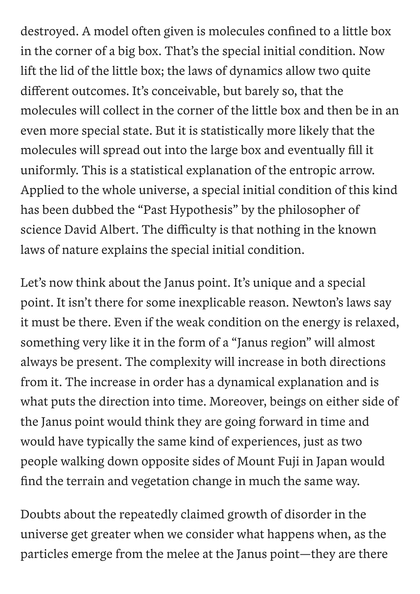destroyed. A model often given is molecules confined to a little box in the corner of a big box. That's the special initial condition. Now lift the lid of the little box; the laws of dynamics allow two quite different outcomes. It's conceivable, but barely so, that the molecules will collect in the corner of the little box and then be in an even more special state. But it is statistically more likely that the molecules will spread out into the large box and eventually fill it uniformly. This is a statistical explanation of the entropic arrow. Applied to the whole universe, a special initial condition of this kind has been dubbed the "Past Hypothesis" by the philosopher of science David Albert. The difficulty is that nothing in the known laws of nature explains the special initial condition.

Let's now think about the Janus point. It's unique and a special point. It isn't there for some inexplicable reason. Newton's laws say it must be there. Even if the weak condition on the energy is relaxed, something very like it in the form of a "Janus region" will almost always be present. The complexity will increase in both directions from it. The increase in order has a dynamical explanation and is what puts the direction into time. Moreover, beings on either side of the Janus point would think they are going forward in time and would have typically the same kind of experiences, just as two people walking down opposite sides of Mount Fuji in Japan would find the terrain and vegetation change in much the same way.

Doubts about the repeatedly claimed growth of disorder in the universe get greater when we consider what happens when, as the particles emerge from the melee at the Janus point—they are there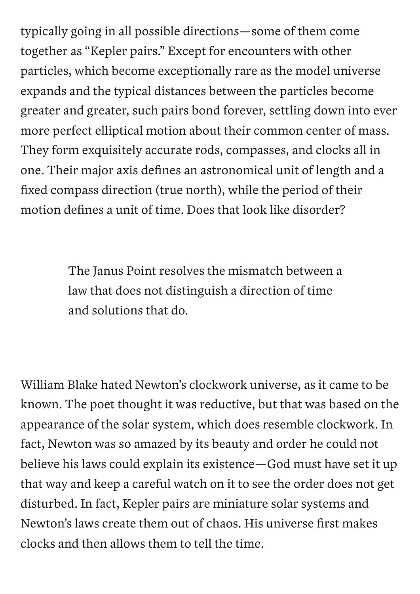typically going in all possible directions—some of them come together as "Kepler pairs." Except for encounters with other particles, which become exceptionally rare as the model universe expands and the typical distances between the particles become greater and greater, such pairs bond forever, settling down into ever more perfect elliptical motion about their common center of mass. They form exquisitely accurate rods, compasses, and clocks all in one. Their major axis defines an astronomical unit of length and a fixed compass direction (true north), while the period of their motion defines a unit of time. Does that look like disorder?

> The Janus Point resolves the mismatch between a law that does not distinguish a direction of time and solutions that do.

William Blake hated Newton's clockwork universe, as it came to be known. The poet thought it was reductive, but that was based on the appearance of the solar system, which does resemble clockwork. In fact, Newton was so amazed by its beauty and order he could not believe his laws could explain its existence—God must have set it up that way and keep a careful watch on it to see the order does not get disturbed. In fact, Kepler pairs are miniature solar systems and Newton's laws create them out of chaos. His universe first makes clocks and then allows them to tell the time.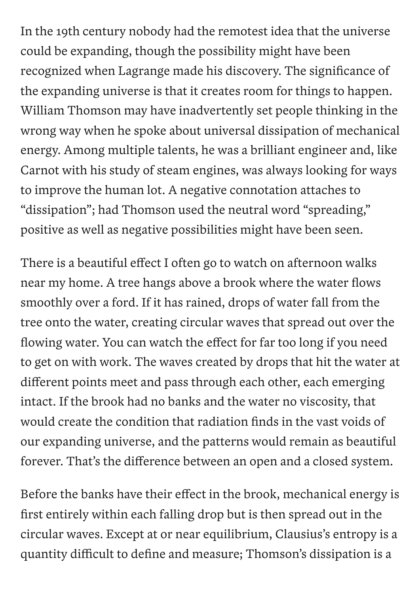In the 19th century nobody had the remotest idea that the universe could be expanding, though the possibility might have been recognized when Lagrange made his discovery. The significance of the expanding universe is that it creates room for things to happen. William Thomson may have inadvertently set people thinking in the wrong way when he spoke about universal dissipation of mechanical energy. Among multiple talents, he was a brilliant engineer and, like Carnot with his study of steam engines, was always looking for ways to improve the human lot. A negative connotation attaches to "dissipation" ; had Thomson used the neutral word "spreading, " positive as well as negative possibilities might have been seen.

There is a beautiful effect I often go to watch on afternoon walks near my home. A tree hangs above a brook where the water flows smoothly over a ford. If it has rained, drops of water fall from the tree onto the water, creating circular waves that spread out over the flowing water. You can watch the effect for far too long if you need to get on with work. The waves created by drops that hit the water at different points meet and pass through each other, each emerging intact. If the brook had no banks and the water no viscosity, that would create the condition that radiation finds in the vast voids of our expanding universe, and the patterns would remain as beautiful forever. That's the difference between an open and a closed system.

Before the banks have their effect in the brook, mechanical energy is first entirely within each falling drop but is then spread out in the circular waves. Except at or near equilibrium, Clausius's entropy is a quantity difficult to define and measure; Thomson's dissipation is a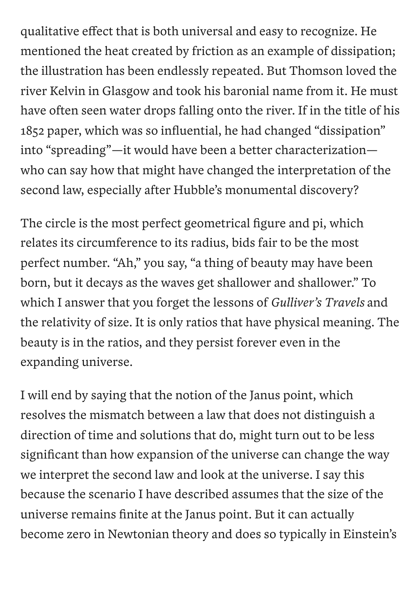qualitative effect that is both universal and easy to recognize. He mentioned the heat created by friction as an example of dissipation; the illustration has been endlessly repeated. But Thomson loved the river Kelvin in Glasgow and took his baronial name from it. He must have often seen water drops falling onto the river. If in the title of his 1852 paper, which was so influential, he had changed "dissipation" into "spreading"—it would have been a better characterization who can say how that might have changed the interpretation of the second law, especially after Hubble's monumental discovery?

The circle is the most perfect geometrical figure and pi, which relates its circumference to its radius, bids fair to be the most perfect number. "Ah," you say, "a thing of beauty may have been born, but it decays as the waves get shallower and shallower." To which I answer that you forget the lessons of *Gulliver's Travels* and the relativity of size. It is only ratios that have physical meaning. The beauty is in the ratios, and they persist forever even in the expanding universe.

I will end by saying that the notion of the Janus point, which resolves the mismatch between a law that does not distinguish a direction of time and solutions that do, might turn out to be less significant than how expansion of the universe can change the way we interpret the second law and look at the universe. I say this because the scenario I have described assumes that the size of the universe remains finite at the Janus point. But it can actually become zero in Newtonian theory and does so typically in Einstein's